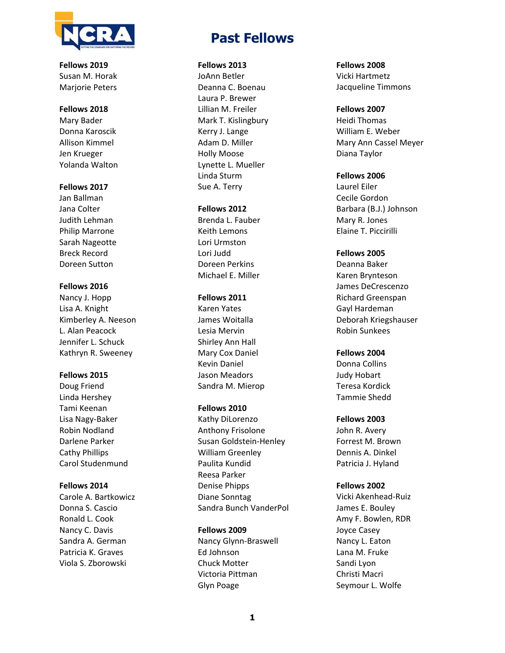

**Fellows 2019**  Susan M. Horak Mariorie Peters

# **Fellows 2018**

Mary Bader Donna Karoscik Allison Kimmel Jen Krueger Yolanda Walton

# **Fellows 2017**

Jan Ballman Jana Colter Judith Lehman Philip Marrone Sarah Nageotte Breck Record Doreen Sutton

# **Fellows 2016**

Nancy J. Hopp Lisa A. Knight Kimberley A. Neeson L. Alan Peacock Jennifer L. Schuck Kathryn R. Sweeney

## **Fellows 2015**

Doug Friend Linda Hershey Tami Keenan Lisa Nagy‐Baker Robin Nodland Darlene Parker Cathy Phillips Carol Studenmund

## **Fellows 2014**

Carole A. Bartkowicz Donna S. Cascio Ronald L. Cook Nancy C. Davis Sandra A. German Patricia K. Graves Viola S. Zborowski

# **Past Fellows**

#### **Fellows 2013**

JoAnn Betler Deanna C. Boenau Laura P. Brewer Lillian M. Freiler Mark T. Kislingbury Kerry J. Lange Adam D. Miller Holly Moose Lynette L. Mueller Linda Sturm Sue A. Terry

## **Fellows 2012**

Brenda L. Fauber Keith Lemons Lori Urmston Lori Judd Doreen Perkins Michael E. Miller

#### **Fellows 2011**

Karen Yates James Woitalla Lesia Mervin Shirley Ann Hall Mary Cox Daniel Kevin Daniel Jason Meadors Sandra M. Mierop

### **Fellows 2010**

Kathy DiLorenzo Anthony Frisolone Susan Goldstein‐Henley William Greenley Paulita Kundid Reesa Parker Denise Phipps Diane Sonntag Sandra Bunch VanderPol

#### **Fellows 2009**

Nancy Glynn‐Braswell Ed Johnson Chuck Motter Victoria Pittman Glyn Poage

**Fellows 2008**  Vicki Hartmetz Jacqueline Timmons

#### **Fellows 2007**

Heidi Thomas William E. Weber Mary Ann Cassel Meyer Diana Taylor

#### **Fellows 2006**

Laurel Eiler Cecile Gordon Barbara (B.J.) Johnson Mary R. Jones Elaine T. Piccirilli

## **Fellows 2005**

Deanna Baker Karen Brynteson James DeCrescenzo Richard Greenspan Gayl Hardeman Deborah Kriegshauser Robin Sunkees

#### **Fellows 2004**

Donna Collins Judy Hobart Teresa Kordick Tammie Shedd

#### **Fellows 2003**

John R. Avery Forrest M. Brown Dennis A. Dinkel Patricia J. Hyland

#### **Fellows 2002**

Vicki Akenhead‐Ruiz James E. Bouley Amy F. Bowlen, RDR Joyce Casey Nancy L. Eaton Lana M. Fruke Sandi Lyon Christi Macri Seymour L. Wolfe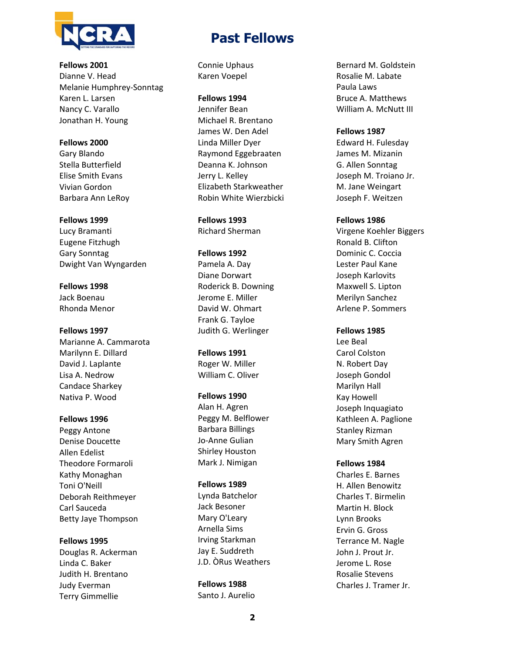

**Fellows 2001**  Dianne V. Head Melanie Humphrey‐Sonntag Karen L. Larsen Nancy C. Varallo Jonathan H. Young

**Fellows 2000**  Gary Blando Stella Butterfield Elise Smith Evans Vivian Gordon Barbara Ann LeRoy

#### **Fellows 1999**

Lucy Bramanti Eugene Fitzhugh Gary Sonntag Dwight Van Wyngarden

**Fellows 1998**  Jack Boenau Rhonda Menor

**Fellows 1997** 

Marianne A. Cammarota Marilynn E. Dillard David J. Laplante Lisa A. Nedrow Candace Sharkey Nativa P. Wood

**Fellows 1996**  Peggy Antone Denise Doucette Allen Edelist Theodore Formaroli Kathy Monaghan Toni O'Neill Deborah Reithmeyer Carl Sauceda Betty Jaye Thompson

**Fellows 1995** 

Douglas R. Ackerman Linda C. Baker Judith H. Brentano Judy Everman Terry Gimmellie

# **Past Fellows**

Connie Uphaus Karen Voepel

**Fellows 1994** 

Jennifer Bean Michael R. Brentano James W. Den Adel Linda Miller Dyer Raymond Eggebraaten Deanna K. Johnson Jerry L. Kelley Elizabeth Starkweather Robin White Wierzbicki

**Fellows 1993**  Richard Sherman

**Fellows 1992**  Pamela A. Day Diane Dorwart Roderick B. Downing Jerome E. Miller David W. Ohmart Frank G. Tayloe Judith G. Werlinger

**Fellows 1991**  Roger W. Miller William C. Oliver

**Fellows 1990**  Alan H. Agren Peggy M. Belflower Barbara Billings Jo‐Anne Gulian Shirley Houston Mark J. Nimigan

**Fellows 1989**  Lynda Batchelor

Jack Besoner Mary O'Leary Arnella Sims Irving Starkman Jay E. Suddreth J.D. ÒRus Weathers

**Fellows 1988**  Santo J. Aurelio Bernard M. Goldstein Rosalie M. Labate Paula Laws Bruce A. Matthews William A. McNutt III

**Fellows 1987** 

Edward H. Fulesday James M. Mizanin G. Allen Sonntag Joseph M. Troiano Jr. M. Jane Weingart Joseph F. Weitzen

**Fellows 1986**  Virgene Koehler Biggers

Ronald B. Clifton Dominic C. Coccia Lester Paul Kane Joseph Karlovits Maxwell S. Lipton Merilyn Sanchez Arlene P. Sommers

**Fellows 1985**  Lee Beal Carol Colston N. Robert Day Joseph Gondol Marilyn Hall Kay Howell Joseph Inquagiato Kathleen A. Paglione Stanley Rizman Mary Smith Agren

**Fellows 1984**  Charles E. Barnes H. Allen Benowitz Charles T. Birmelin Martin H. Block Lynn Brooks Ervin G. Gross Terrance M. Nagle John J. Prout Jr. Jerome L. Rose Rosalie Stevens Charles J. Tramer Jr.